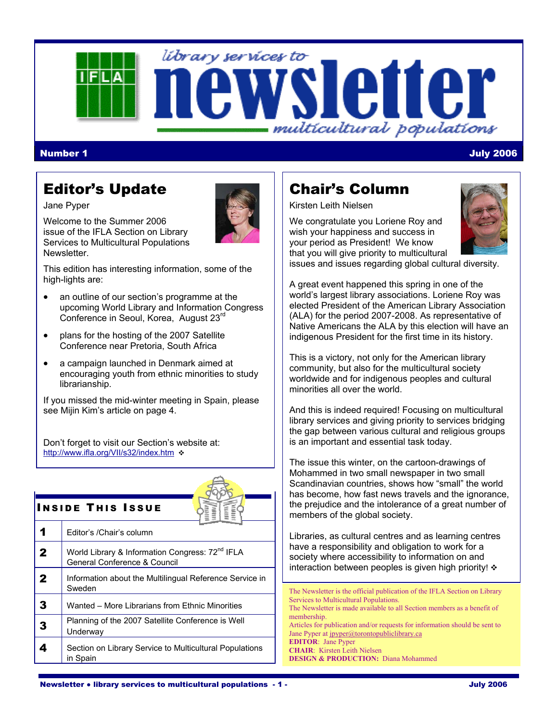# library services to letter multicultural populations

### Number 1 July 2006

# Editor's Update

Jane Pyper

Welcome to the Summer 2006 issue of the IFLA Section on Library Services to Multicultural Populations Newsletter.



This edition has interesting information, some of the high-lights are:

- an outline of our section's programme at the upcoming World Library and Information Congress Conference in Seoul, Korea, August 23rd
- plans for the hosting of the 2007 Satellite Conference near Pretoria, South Africa
- a campaign launched in Denmark aimed at encouraging youth from ethnic minorities to study librarianship.

If you missed the mid-winter meeting in Spain, please see Mijin Kim's article on page 4.

Don't forget to visit our Section's website at: http://www.ifla.org/VII/s32/index.htm



### **INSIDE THIS ISSUE**

|             | Editor's /Chair's column                                                                    |
|-------------|---------------------------------------------------------------------------------------------|
| 2           | World Library & Information Congress: 72 <sup>nd</sup> IFLA<br>General Conference & Council |
| $\mathbf 2$ | Information about the Multilingual Reference Service in<br>Sweden                           |
| 3           | Wanted - More Librarians from Ethnic Minorities                                             |
| 3           | Planning of the 2007 Satellite Conference is Well<br>Underway                               |
|             | Section on Library Service to Multicultural Populations<br>in Spain                         |
|             |                                                                                             |

# Chair's Column

Kirsten Leith Nielsen

We congratulate you Loriene Roy and wish your happiness and success in your period as President! We know that you will give priority to multicultural issues and issues regarding global cultural diversity.



A great event happened this spring in one of the world's largest library associations. Loriene Roy was elected President of the American Library Association (ALA) for the period 2007-2008. As representative of Native Americans the ALA by this election will have an indigenous President for the first time in its history.

This is a victory, not only for the American library community, but also for the multicultural society worldwide and for indigenous peoples and cultural minorities all over the world.

And this is indeed required! Focusing on multicultural library services and giving priority to services bridging the gap between various cultural and religious groups is an important and essential task today.

The issue this winter, on the cartoon-drawings of Mohammed in two small newspaper in two small Scandinavian countries, shows how "small" the world has become, how fast news travels and the ignorance, the prejudice and the intolerance of a great number of members of the global society.

Libraries, as cultural centres and as learning centres have a responsibility and obligation to work for a society where accessibility to information on and interaction between peoples is given high priority!  $\cdot$ 

The Newsletter is the official publication of the IFLA Section on Library Services to Multicultural Populations. The Newsletter is made available to all Section members as a benefit of membership. Articles for publication and/or requests for information should be sent to Jane Pyper at jpyper@torontopubliclibrary.ca **EDITOR**: Jane Pyper **CHAIR**: Kirsten Leith Nielsen **DESIGN & PRODUCTION:** Diana Mohammed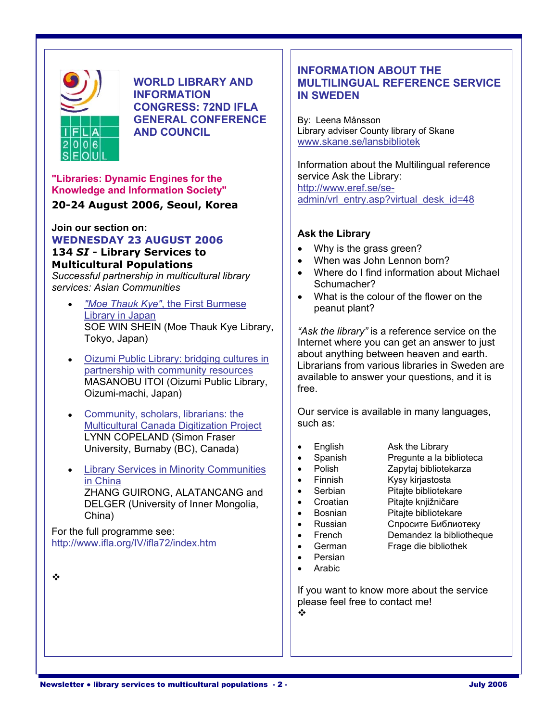

**INFORMATION IN SWEDEN CONGRESS: 72ND IFLA GENERAL CONFERENCE** | By: Leena Månsson

**"Libraries: Dynamic Engines for the <br>
<b>Knowledge and Information Society"** http://www.eref.se/se-

### admin/vrl\_entry.asp?virtual\_desk\_id=48 **20-24 August 2006, Seoul, Korea**

**Join our section on:**<br> **WEDNESDAY 23 AUGUST 2006**<br> **Ask the Library Sorvices to Canadian Convention Convention Convention Convention Convention Convention Convention Convention Convention Convention Convention Convention 134 SI - Library Services to Channel Act and SI + Why is the grass green?<br>
<b>Multicultural Repulstions** 

*Successful partnership in multicultural library*  $\vert \cdot \vert$  Where do I find scription considers about Michael Michael Michael Schumacher? services: Asian Communities

- *"Moe Thauk Kye"*, the First Burmese peanut plant? Library in Japan SOE WIN SHEIN (Moe Thauk Kye Library,  $\begin{array}{c} | \\ | \end{array}$  "Ask the library" is a reference service on the Tokyo, Japan)
- $MASANOBU$  ITOI (Oizumi Public Library,  $||\cdot||^{avan}$ Oizumi-machi, Japan)
- **Multicultural Canada Digitization Project** LYNN COPELAND (Simon Fraser University, Burnaby (BC), Canada) **Figure 1** Persish Ask the Library Research Ask the Library
- Library Services in Minority Communities  $\begin{vmatrix} \cdot & \cdot & \cdot \\ \cdot & \cdot & \cdot \\ \cdot & \cdot & \cdot \\ \cdot & \cdot & \cdot \end{vmatrix}$  Kysy kirjastosta in China<br>
THANG GUIRONG ALATANCANG and **Example 1** • Serbian Pitaite bibliotekare ZHANG GUIRONG, ALATANCANG and <br>
DELGER (University of Inner Mongolia | | | Croatian Pitajte knjižničare DELGER (University of Inner Mongolia, Pitage Croatian<br>China) **Pitage Knjižničare knjiž**ničare knjiže knjižničare knjižničare knjižničare knjižničare knjižničare knjiž China) • Bosnian Pitajte bibliotekare

For the full programme see: • French Demandez la bibliotheque http://www.ifla.org/IV/ifla72/index.htm | errorich German Frage die bibliothek

 $\frac{1}{2}$ 

# **INFORMATION ABOUT THE**  WORLD LIBRARY AND **WORLD LIBRARY AND <b>MULTILINGUAL REFERENCE SERVICE**

**AND COUNCIL Library adviser County library of Skane** [www.skane.se/lansbibliotek](http://www.skane.se/lansbibliotek) 

Information about the Multilingual reference **Knowledge and Information Society"** admin/vrl entry asp?virtual desk id=48

- 
- 
- **Multicultural Populations**<br>Cusesparity partnership in multiquitural library and the Where do I find information about Michael
	- What is the colour of the flower on the

 $\bullet$  Oizumi Public Library: bridging cultures in  $\|\cdot\|$  about anything between heaven and earth.  $\frac{\text{Dizamr table Lblary. Dlay, Draging values in}}{\text{Datriership with community resources}}$ 

• Community, scholars, librarians: the  $\frac{1}{2}$  Our service is available in many languages,

- - Pregunte a la biblioteca
- -
	- -
- 
- 
- -
- Persian
- 
- Arabic

If you want to know more about the service please feel free to contact me!

 $\frac{1}{2}$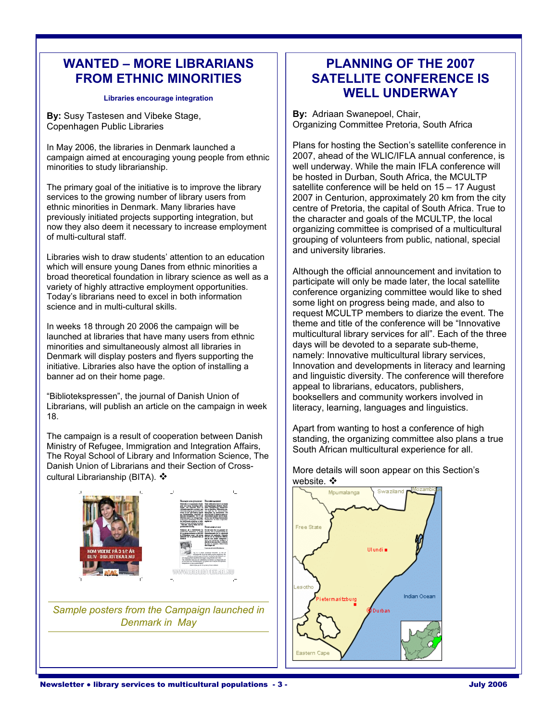### WANTED – MORE LIBRARIANS | | PLANNING OF THE 2007 **FROM ETHNIC MINORITIES FROM ETHNIC MINORITIES**

**By:** Susy Tastesen and Vibeke Stage, **By:** Adriaan Swanepoel, Chair, Copenhagen Public Libraries **Business Business** Copenhagen Public Libraries

campaign aimed at encouraging young people from ethnic minorities to study librarianship. well underway. While the main IFLA conference will

The primary goal of the initiative is to improve the library  $\vert$  satellite conference will be held on 15 – 17 August services to the growing number of library users from  $\vert$  2007 in Centurion, approximately 20 km from t services to the growing number of library users from 2007 in Centurion, approximately 20 km from the city<br>ethnic minorities in Denmark. Many libraries have entre of Pretoria, the capital of South Africa. True to ethnic minorities in Denmark. Many libraries have end of the of Pretoria, the capital of South Africa. True to<br>previously initiated projects supporting integration, but previously initiated projects supporting integration, but  $\vert$  the character and goals of the MCULTP, the local<br>now they also deem it necessary to increase employment now they also deem it necessary to increase employment organizing committee is comprised of a multicultural<br>of multi-cultural staff.

Libraries wish to draw students' attention to an education  $\Box$  and university libraries. which will ensure young Danes from ethnic minorities a<br>broad theoretical foundation in library science as well as a<br>variety of highly attractive employment opportunities.<br>Today's librarians need to excel in both informatio

launched at libraries that have many users from ethnic multicultural library services for all". Each of the thre<br>minorities and simultaneously almost all libraries in minorities and simultaneously almost all libraries in days will be devoted to a separate sub-theme,<br>Denmark will display posters and flyers supporting the discussion and provative multicultural library services, initiative. Libraries also have the option of installing a

"Bibliotekspressen", the journal of Danish Union of **booksellers and community workers involved in** Librarians, will publish an article on the campaign in week  $\|\cdot\|$  literacy, learning, languages and linguistics. 18.

The Royal School of Library and Information Science, The Danish Union of Librarians and their Section of Cross-Danish Union of Librarians and their Section of Cross-<br>cultural Librarianship (BITA). ❖



*Sample posters from the Campaign launched in Denmark in May* 

# Libraries encourage integration **WELL UNDERWAY**

Organizing Committee Pretoria, South Africa

In May 2006, the libraries in Denmark launched a  $\vert$  Plans for hosting the Section's satellite conference in campaign aimed at encouraging young people from ethnic  $\vert$  2007, ahead of the WLIC/IFLA annual conference, is be hosted in Durban, South Africa, the MCULTP grouping of volunteers from public, national, special

some light on progress being made, and also to request MCULTP members to diarize the event. The theme and title of the conference will be "Innovative" In weeks 18 through 20 2006 the campaign will be  $\vert$  theme and title of the conference will be "Innovative"  $\vert$  and the three many users from ethnic Denmark will display posters and flyers supporting the namely: Innovative multicultural library services,<br>
initiative. Libraries also have the option of installing a banner ad on their home page.  $\vert$  and linguistic diversity. The conference will therefore appeal to librarians, educators, publishers,

The campaign is a result of cooperation between Danish The campaign is a result of cooperation between Danish Standing, the organizing committee also plans a true Ministry of Refugee, Immigration and Integration Affairs, South African multicultural experience for all.